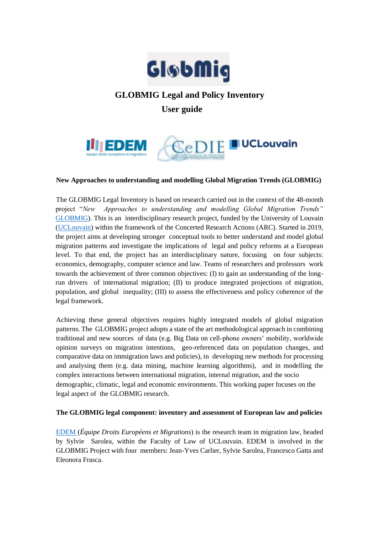

# **GLOBMIG Legal and Policy Inventory User guide**



## **New Approaches to understanding and modelling Global Migration Trends (GLOBMIG)**

The GLOBMIG Legal Inventory is based on research carried out in the context of the 48-month project "*New Approaches to understanding and modelling Global Migration Trends"*  GLOBMIG). This is an interdisciplinary research project, funded by the University of Louvain (UCLouvain) within the framework of the Concerted Research Actions (ARC). Started in 2019, the project aims at developing stronger conceptual tools to better understand and model global migration patterns and investigate the implications of legal and policy reforms at a European level. To that end, the project has an interdisciplinary nature, focusing on four subjects: economics, demography, computer science and law. Teams of researchers and professors work towards the achievement of three common objectives: (I) to gain an understanding of the longrun drivers of international migration; (II) to produce integrated projections of migration, population, and global inequality; (III) to assess the effectiveness and policy coherence of the legal framework.

Achieving these general objectives requires highly integrated models of global migration patterns. The GLOBMIG project adopts a state of the art methodological approach in combining traditional and new sources of data (e.g. Big Data on cell-phone owners' mobility, worldwide opinion surveys on migration intentions, geo-referenced data on population changes, and comparative data on immigration laws and policies), in developing new methods for processing and analysing them (e.g. data mining, machine learning algorithms), and in modelling the complex interactions between international migration, internal migration, and the socio demographic, climatic, legal and economic environments. This working paper focuses on the legal aspect of the GLOBMIG research.

#### **The GLOBMIG legal component: inventory and assessment of European law and policies**

EDEM (*Équipe Droits Européens et Migrations*) is the research team in migration law, headed by Sylvie Sarolea, within the Faculty of Law of UCLouvain. EDEM is involved in the GLOBMIG Project with four members: Jean-Yves Carlier, Sylvie Sarolea, Francesco Gatta and Eleonora Frasca.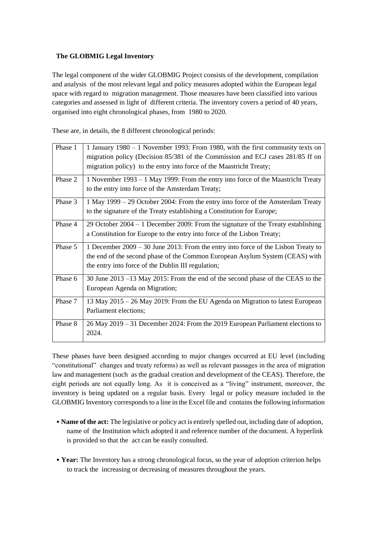# **The GLOBMIG Legal Inventory**

The legal component of the wider GLOBMIG Project consists of the development, compilation and analysis of the most relevant legal and policy measures adopted within the European legal space with regard to migration management. Those measures have been classified into various categories and assessed in light of different criteria. The inventory covers a period of 40 years, organised into eight chronological phases, from 1980 to 2020.

These are, in details, the 8 different chronological periods:

| Phase 1 | 1 January 1980 – 1 November 1993: From 1980, with the first community texts on<br>migration policy (Decision 85/381 of the Commission and ECJ cases 281/85 ff on<br>migration policy) to the entry into force of the Maastricht Treaty; |
|---------|-----------------------------------------------------------------------------------------------------------------------------------------------------------------------------------------------------------------------------------------|
| Phase 2 | 1 November 1993 – 1 May 1999: From the entry into force of the Maastricht Treaty<br>to the entry into force of the Amsterdam Treaty;                                                                                                    |
| Phase 3 | 1 May 1999 – 29 October 2004: From the entry into force of the Amsterdam Treaty<br>to the signature of the Treaty establishing a Constitution for Europe;                                                                               |
| Phase 4 | 29 October $2004 - 1$ December 2009: From the signature of the Treaty establishing<br>a Constitution for Europe to the entry into force of the Lisbon Treaty;                                                                           |
| Phase 5 | 1 December $2009 - 30$ June $2013$ : From the entry into force of the Lisbon Treaty to<br>the end of the second phase of the Common European Asylum System (CEAS) with<br>the entry into force of the Dublin III regulation;            |
| Phase 6 | 30 June 2013 –13 May 2015: From the end of the second phase of the CEAS to the<br>European Agenda on Migration;                                                                                                                         |
| Phase 7 | 13 May 2015 – 26 May 2019: From the EU Agenda on Migration to latest European<br>Parliament elections;                                                                                                                                  |
| Phase 8 | 26 May 2019 – 31 December 2024: From the 2019 European Parliament elections to<br>2024.                                                                                                                                                 |

These phases have been designed according to major changes occurred at EU level (including "constitutional" changes and treaty reforms) as well as relevant passages in the area of migration law and management (such as the gradual creation and development of the CEAS). Therefore, the eight periods are not equally long. As it is conceived as a "living" instrument, moreover, the inventory is being updated on a regular basis. Every legal or policy measure included in the GLOBMIG Inventory corresponds to a line in the Excel file and contains the following information

- **Name of the act:** The legislative or policy act is entirely spelled out, including date of adoption, name of the Institution which adopted it and reference number of the document. A hyperlink is provided so that the act can be easily consulted.
- **Year:** The Inventory has a strong chronological focus, so the year of adoption criterion helps to track the increasing or decreasing of measures throughout the years.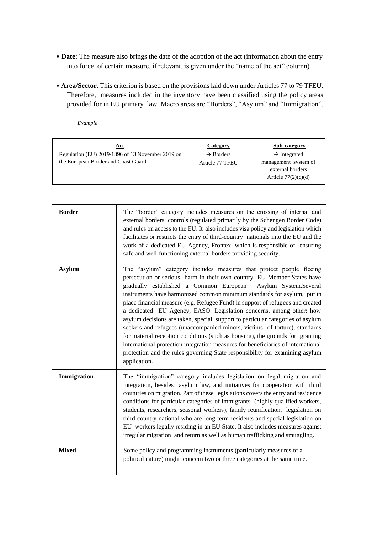- **Date**: The measure also brings the date of the adoption of the act (information about the entry into force of certain measure, if relevant, is given under the "name of the act" column)
- **Area/Sector.** This criterion is based on the provisions laid down under Articles 77 to 79 TFEU. Therefore, measures included in the inventory have been classified using the policy areas provided for in EU primary law. Macro areas are "Borders", "Asylum" and "Immigration".

*Example*

| Regulation (EU) 2019/1896 of 13 November 2019 on<br>$\rightarrow$ Borders<br>$\rightarrow$ Integrated<br>the European Border and Coast Guard<br>management system of<br>Article 77 TFEU<br>external borders<br>Article $77(2)(c)(d)$ | <u>Act</u> | Category | Sub-category |
|--------------------------------------------------------------------------------------------------------------------------------------------------------------------------------------------------------------------------------------|------------|----------|--------------|
|--------------------------------------------------------------------------------------------------------------------------------------------------------------------------------------------------------------------------------------|------------|----------|--------------|

| <b>Border</b> | The "border" category includes measures on the crossing of internal and<br>external borders controls (regulated primarily by the Schengen Border Code)<br>and rules on access to the EU. It also includes visa policy and legislation which<br>facilitates or restricts the entry of third-country nationals into the EU and the<br>work of a dedicated EU Agency, Frontex, which is responsible of ensuring<br>safe and well-functioning external borders providing security.                                                                                                                                                                                                                                                                                                                                                                                                              |
|---------------|---------------------------------------------------------------------------------------------------------------------------------------------------------------------------------------------------------------------------------------------------------------------------------------------------------------------------------------------------------------------------------------------------------------------------------------------------------------------------------------------------------------------------------------------------------------------------------------------------------------------------------------------------------------------------------------------------------------------------------------------------------------------------------------------------------------------------------------------------------------------------------------------|
| <b>Asylum</b> | The "asylum" category includes measures that protect people fleeing<br>persecution or serious harm in their own country. EU Member States have<br>gradually established a Common European<br>Asylum System.Several<br>instruments have harmonized common minimum standards for asylum, put in<br>place financial measure (e.g. Refugee Fund) in support of refugees and created<br>a dedicated EU Agency, EASO. Legislation concerns, among other: how<br>asylum decisions are taken, special support to particular categories of asylum<br>seekers and refugees (unaccompanied minors, victims of torture), standards<br>for material reception conditions (such as housing), the grounds for granting<br>international protection integration measures for beneficiaries of international<br>protection and the rules governing State responsibility for examining asylum<br>application. |
| Immigration   | The "immigration" category includes legislation on legal migration and<br>integration, besides asylum law, and initiatives for cooperation with third<br>countries on migration. Part of these legislations covers the entry and residence<br>conditions for particular categories of immigrants (highly qualified workers,<br>students, researchers, seasonal workers), family reunification, legislation on<br>third-country national who are long-term residents and special legislation on<br>EU workers legally residing in an EU State. It also includes measures against<br>irregular migration and return as well as human trafficking and smuggling.                                                                                                                                                                                                                               |
| <b>Mixed</b>  | Some policy and programming instruments (particularly measures of a<br>political nature) might concern two or three categories at the same time.                                                                                                                                                                                                                                                                                                                                                                                                                                                                                                                                                                                                                                                                                                                                            |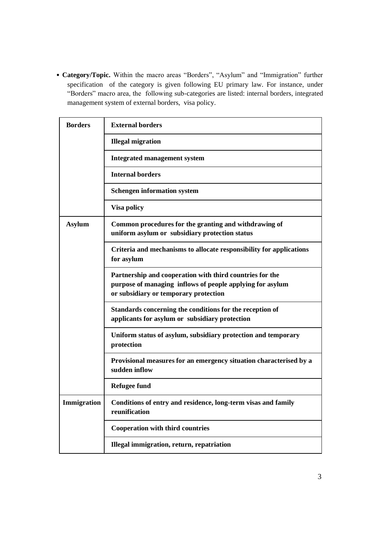• **Category/Topic.** Within the macro areas "Borders", "Asylum" and "Immigration" further specification of the category is given following EU primary law. For instance, under "Borders" macro area, the following sub-categories are listed: internal borders, integrated management system of external borders, visa policy.

| <b>Borders</b> | <b>External borders</b>                                                                                                                                        |
|----------------|----------------------------------------------------------------------------------------------------------------------------------------------------------------|
|                | <b>Illegal migration</b>                                                                                                                                       |
|                | <b>Integrated management system</b>                                                                                                                            |
|                | <b>Internal borders</b>                                                                                                                                        |
|                | <b>Schengen information system</b>                                                                                                                             |
|                | <b>Visa policy</b>                                                                                                                                             |
| <b>Asylum</b>  | Common procedures for the granting and withdrawing of<br>uniform asylum or subsidiary protection status                                                        |
|                | Criteria and mechanisms to allocate responsibility for applications<br>for asylum                                                                              |
|                | Partnership and cooperation with third countries for the<br>purpose of managing inflows of people applying for asylum<br>or subsidiary or temporary protection |
|                | Standards concerning the conditions for the reception of<br>applicants for asylum or subsidiary protection                                                     |
|                | Uniform status of asylum, subsidiary protection and temporary<br>protection                                                                                    |
|                | Provisional measures for an emergency situation characterised by a<br>sudden inflow                                                                            |
|                | <b>Refugee fund</b>                                                                                                                                            |
| Immigration    | Conditions of entry and residence, long-term visas and family<br>reunification                                                                                 |
|                | <b>Cooperation with third countries</b>                                                                                                                        |
|                | Illegal immigration, return, repatriation                                                                                                                      |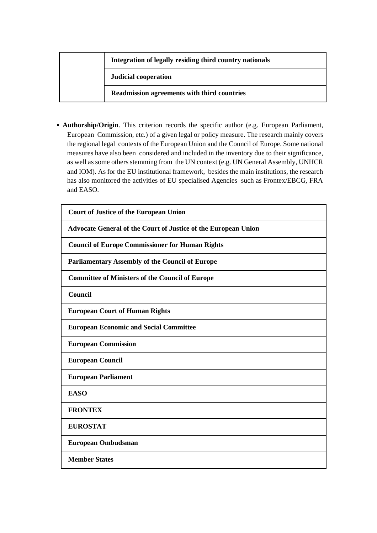## **Integration of legally residing third country nationals**

**Judicial cooperation**

**Readmission agreements with third countries** 

• **Authorship/Origin**. This criterion records the specific author (e.g. European Parliament, European Commission, etc.) of a given legal or policy measure. The research mainly covers the regional legal contexts of the European Union and the Council of Europe. Some national measures have also been considered and included in the inventory due to their significance, as well as some others stemming from the UN context (e.g. UN General Assembly, UNHCR and IOM). As for the EU institutional framework, besides the main institutions, the research has also monitored the activities of EU specialised Agencies such as Frontex/EBCG, FRA and EASO.

| <b>Court of Justice of the European Union</b>                  |
|----------------------------------------------------------------|
| Advocate General of the Court of Justice of the European Union |
| <b>Council of Europe Commissioner for Human Rights</b>         |
| <b>Parliamentary Assembly of the Council of Europe</b>         |
| <b>Committee of Ministers of the Council of Europe</b>         |
| Council                                                        |
| <b>European Court of Human Rights</b>                          |
| <b>European Economic and Social Committee</b>                  |
| <b>European Commission</b>                                     |
| <b>European Council</b>                                        |
| <b>European Parliament</b>                                     |
| <b>EASO</b>                                                    |
| <b>FRONTEX</b>                                                 |
| <b>EUROSTAT</b>                                                |
| <b>European Ombudsman</b>                                      |
| <b>Member States</b>                                           |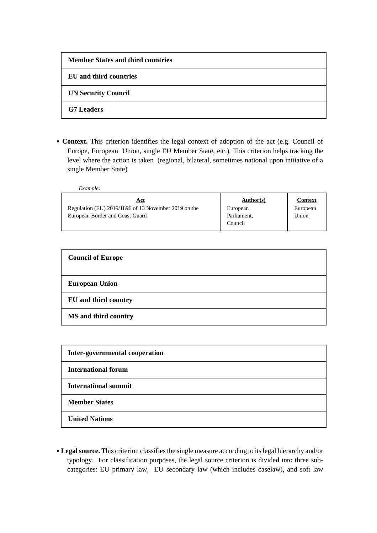| <b>Member States and third countries</b> |
|------------------------------------------|
| EU and third countries                   |
| <b>UN Security Council</b>               |
| <b>G7</b> Leaders                        |

• **Context.** This criterion identifies the legal context of adoption of the act (e.g. Council of Europe, European Union, single EU Member State, etc.). This criterion helps tracking the level where the action is taken (regional, bilateral, sometimes national upon initiative of a single Member State)

| Example:                                             |             |                |
|------------------------------------------------------|-------------|----------------|
| <u>Act</u>                                           | Author(s)   | <b>Context</b> |
| Regulation (EU) 2019/1896 of 13 November 2019 on the | European    | European       |
| European Border and Coast Guard                      | Parliament, | Union          |
|                                                      | Council     |                |

| <b>Council of Europe</b> |
|--------------------------|
| <b>European Union</b>    |
| EU and third country     |
| MS and third country     |

| Inter-governmental cooperation |
|--------------------------------|
| <b>International forum</b>     |
| <b>International summit</b>    |
| <b>Member States</b>           |
| <b>United Nations</b>          |

• **Legal source.** This criterion classifies the single measure according to its legal hierarchy and/or typology. For classification purposes, the legal source criterion is divided into three subcategories: EU primary law, EU secondary law (which includes caselaw), and soft law